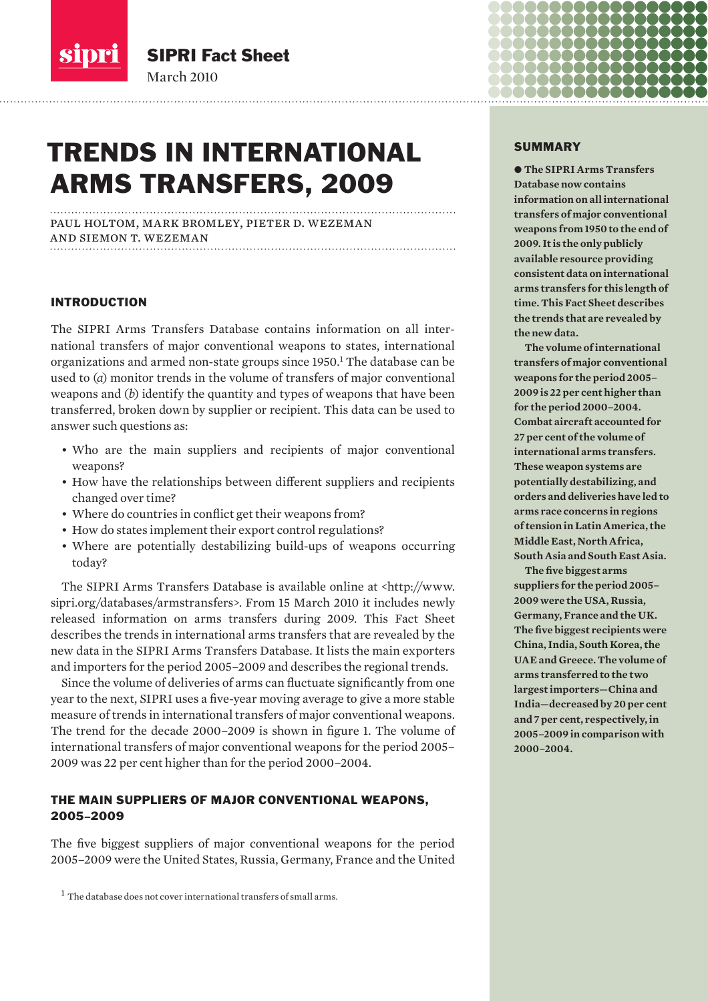

SIPRI Fact Sheet March 2010

# TRENDS IN INTERNATIONAL ARMS TRANSFERS, 2009

paul holtom, mark bromley, pieter d. wezeman and siemon t. wezeman

#### INTRODUCTION

The SIPRI Arms Transfers Database contains information on all international transfers of major conventional weapons to states, international organizations and armed non-state groups since 1950.<sup>1</sup> The database can be used to (*a*) monitor trends in the volume of transfers of major conventional weapons and (*b*) identify the quantity and types of weapons that have been transferred, broken down by supplier or recipient. This data can be used to answer such questions as:

- Who are the main suppliers and recipients of major conventional weapons?
- How have the relationships between different suppliers and recipients changed over time?
- Where do countries in conflict get their weapons from?
- How do states implement their export control regulations?
- Where are potentially destabilizing build-ups of weapons occurring today?

The SIPRI Arms Transfers Database is available online at <http://www. sipri.org/databases/armstransfers>. From 15 March 2010 it includes newly released information on arms transfers during 2009. This Fact Sheet describes the trends in international arms transfers that are revealed by the new data in the SIPRI Arms Transfers Database. It lists the main exporters and importers for the period 2005–2009 and describes the regional trends.

Since the volume of deliveries of arms can fluctuate significantly from one year to the next, SIPRI uses a five-year moving average to give a more stable measure of trends in international transfers of major conventional weapons. The trend for the decade 2000–2009 is shown in figure 1. The volume of international transfers of major conventional weapons for the period 2005– 2009 was 22 per cent higher than for the period 2000–2004.

### THE MAIN SUPPLIERS OF MAJOR CONVENTIONAL WEAPONS, 2005–2009

The five biggest suppliers of major conventional weapons for the period 2005–2009 were the United States, Russia, Germany, France and the United

 $<sup>1</sup>$  The database does not cover international transfers of small arms.</sup>

#### **SUMMARY**

● The SIPRI Arms Transfers **Database now contains information on all international transfers of major conventional weapons from 1950 to the end of 2009. It is the only publicly available resource providing consistent data on international arms transfers for this length of time. This Fact Sheet describes the trends that are revealed by the new data.** 

**The volume of international transfers of major conventional weapons for the period 2005– 2009 is 22 per cent higher than for the period 2000–2004. Combat aircraft accounted for 27 per cent of the volume of international arms transfers. These weapon systems are potentially destabilizing, and orders and deliveries have led to arms race concerns in regions of tension in Latin America, the Middle East, North Africa, South Asia and South East Asia.**

**The five biggest arms suppliers for the period 2005– 2009 were the USA, Russia, Germany, France and the UK. The five biggest recipients were China, India, South Korea, the UAE and Greece. The volume of arms transferred to the two largest importers—China and India—decreased by 20 per cent and 7 per cent, respectively, in 2005–2009 in comparison with 2000–2004.**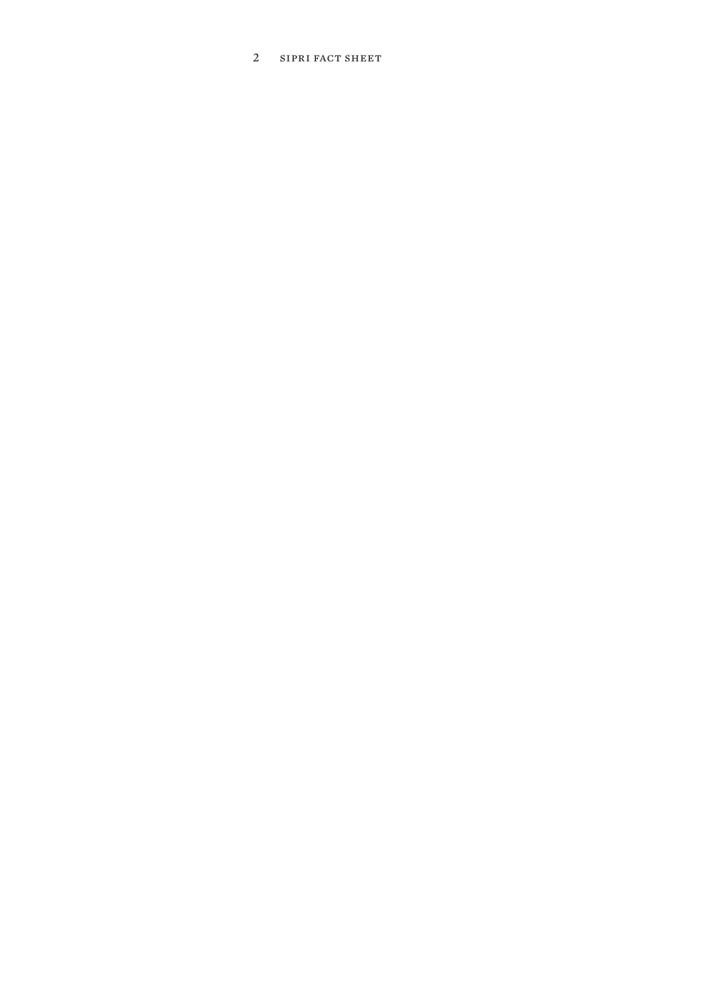## 2 SIPRI FACT SHEET